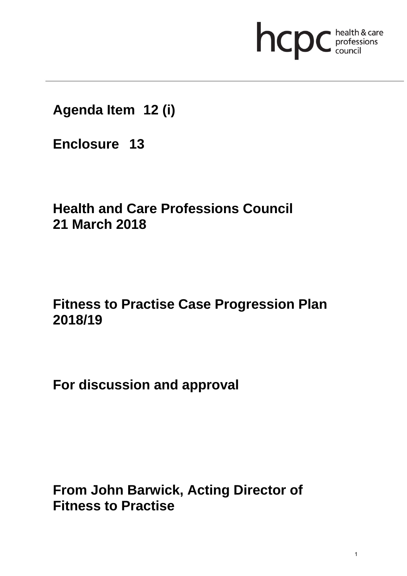# **health & care**

**Agenda Item 12 (i)**

**Enclosure 13**

# **Health and Care Professions Council 21 March 2018**

# **Fitness to Practise Case Progression Plan 2018/19**

**For discussion and approval**

**From John Barwick, Acting Director of Fitness to Practise**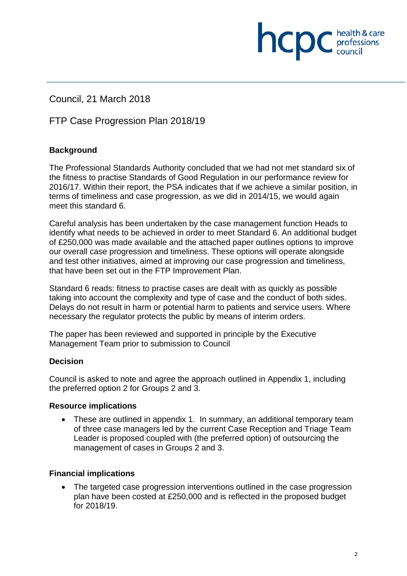Council, 21 March 2018

# FTP Case Progression Plan 2018/19

# **Background**

The Professional Standards Authority concluded that we had not met standard six of the fitness to practise Standards of Good Regulation in our performance review for 2016/17. Within their report, the PSA indicates that if we achieve a similar position, in terms of timeliness and case progression, as we did in 2014/15, we would again meet this standard 6.

hcpc

professions<br>council

Careful analysis has been undertaken by the case management function Heads to identify what needs to be achieved in order to meet Standard 6. An additional budget of £250,000 was made available and the attached paper outlines options to improve our overall case progression and timeliness. These options will operate alongside and test other initiatives, aimed at improving our case progression and timeliness, that have been set out in the FTP Improvement Plan.

Standard 6 reads: fitness to practise cases are dealt with as quickly as possible taking into account the complexity and type of case and the conduct of both sides. Delays do not result in harm or potential harm to patients and service users. Where necessary the regulator protects the public by means of interim orders.

The paper has been reviewed and supported in principle by the Executive Management Team prior to submission to Council

# **Decision**

Council is asked to note and agree the approach outlined in Appendix 1, including the preferred option 2 for Groups 2 and 3.

#### **Resource implications**

• These are outlined in appendix 1. In summary, an additional temporary team of three case managers led by the current Case Reception and Triage Team Leader is proposed coupled with (the preferred option) of outsourcing the management of cases in Groups 2 and 3.

# **Financial implications**

• The targeted case progression interventions outlined in the case progression plan have been costed at £250,000 and is reflected in the proposed budget for 2018/19.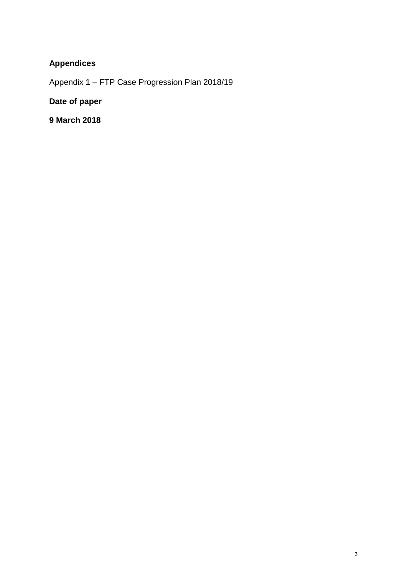# **Appendices**

Appendix 1 – FTP Case Progression Plan 2018/19

# **Date of paper**

**9 March 2018**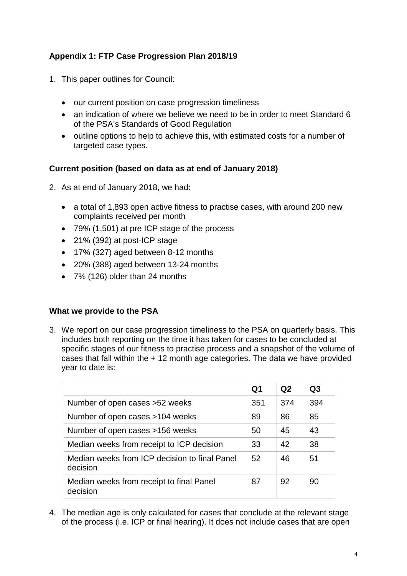# **Appendix 1: FTP Case Progression Plan 2018/19**

- 1. This paper outlines for Council:
	- our current position on case progression timeliness
	- an indication of where we believe we need to be in order to meet Standard 6 of the PSA's Standards of Good Regulation
	- outline options to help to achieve this, with estimated costs for a number of targeted case types.

#### **Current position (based on data as at end of January 2018)**

- 2. As at end of January 2018, we had:
	- a total of 1,893 open active fitness to practise cases, with around 200 new complaints received per month
	- 79% (1,501) at pre ICP stage of the process
	- 21% (392) at post-ICP stage
	- 17% (327) aged between 8-12 months
	- 20% (388) aged between 13-24 months
	- 7% (126) older than 24 months

#### **What we provide to the PSA**

3. We report on our case progression timeliness to the PSA on quarterly basis. This includes both reporting on the time it has taken for cases to be concluded at specific stages of our fitness to practise process and a snapshot of the volume of cases that fall within the + 12 month age categories. The data we have provided year to date is:

|                                                           | Q1  | Q2  | Q3  |
|-----------------------------------------------------------|-----|-----|-----|
| Number of open cases > 52 weeks                           | 351 | 374 | 394 |
| Number of open cases >104 weeks                           | 89  | 86  | 85  |
| Number of open cases >156 weeks                           | 50  | 45  | 43  |
| Median weeks from receipt to ICP decision                 | 33  | 42  | 38  |
| Median weeks from ICP decision to final Panel<br>decision | 52  | 46  | 51  |
| Median weeks from receipt to final Panel<br>decision      | 87  | 92  | 90  |

4. The median age is only calculated for cases that conclude at the relevant stage of the process (i.e. ICP or final hearing). It does not include cases that are open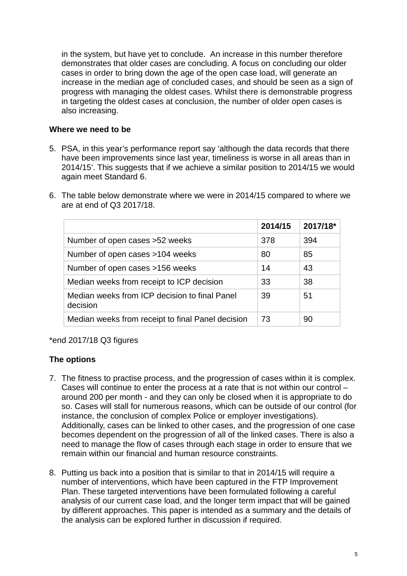in the system, but have yet to conclude. An increase in this number therefore demonstrates that older cases are concluding. A focus on concluding our older cases in order to bring down the age of the open case load, will generate an increase in the median age of concluded cases, and should be seen as a sign of progress with managing the oldest cases. Whilst there is demonstrable progress in targeting the oldest cases at conclusion, the number of older open cases is also increasing.

#### **Where we need to be**

- 5. PSA, in this year's performance report say 'although the data records that there have been improvements since last year, timeliness is worse in all areas than in 2014/15'. This suggests that if we achieve a similar position to 2014/15 we would again meet Standard 6.
- 6. The table below demonstrate where we were in 2014/15 compared to where we are at end of Q3 2017/18.

|                                                           | 2014/15 | 2017/18* |
|-----------------------------------------------------------|---------|----------|
| Number of open cases >52 weeks                            | 378     | 394      |
| Number of open cases >104 weeks                           | 80      | 85       |
| Number of open cases >156 weeks                           | 14      | 43       |
| Median weeks from receipt to ICP decision                 | 33      | 38       |
| Median weeks from ICP decision to final Panel<br>decision | 39      | 51       |
| Median weeks from receipt to final Panel decision         | 73      | 90       |

\*end 2017/18 Q3 figures

# **The options**

- 7. The fitness to practise process, and the progression of cases within it is complex. Cases will continue to enter the process at a rate that is not within our control – around 200 per month - and they can only be closed when it is appropriate to do so. Cases will stall for numerous reasons, which can be outside of our control (for instance, the conclusion of complex Police or employer investigations). Additionally, cases can be linked to other cases, and the progression of one case becomes dependent on the progression of all of the linked cases. There is also a need to manage the flow of cases through each stage in order to ensure that we remain within our financial and human resource constraints.
- 8. Putting us back into a position that is similar to that in 2014/15 will require a number of interventions, which have been captured in the FTP Improvement Plan. These targeted interventions have been formulated following a careful analysis of our current case load, and the longer term impact that will be gained by different approaches. This paper is intended as a summary and the details of the analysis can be explored further in discussion if required.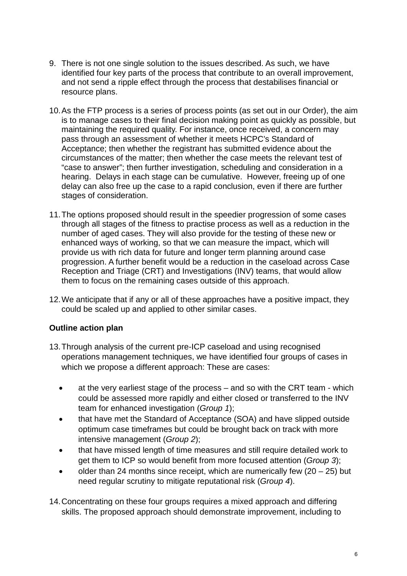- 9. There is not one single solution to the issues described. As such, we have identified four key parts of the process that contribute to an overall improvement, and not send a ripple effect through the process that destabilises financial or resource plans.
- 10.As the FTP process is a series of process points (as set out in our Order), the aim is to manage cases to their final decision making point as quickly as possible, but maintaining the required quality. For instance, once received, a concern may pass through an assessment of whether it meets HCPC's Standard of Acceptance; then whether the registrant has submitted evidence about the circumstances of the matter; then whether the case meets the relevant test of "case to answer"; then further investigation, scheduling and consideration in a hearing. Delays in each stage can be cumulative. However, freeing up of one delay can also free up the case to a rapid conclusion, even if there are further stages of consideration.
- 11.The options proposed should result in the speedier progression of some cases through all stages of the fitness to practise process as well as a reduction in the number of aged cases. They will also provide for the testing of these new or enhanced ways of working, so that we can measure the impact, which will provide us with rich data for future and longer term planning around case progression. A further benefit would be a reduction in the caseload across Case Reception and Triage (CRT) and Investigations (INV) teams, that would allow them to focus on the remaining cases outside of this approach.
- 12.We anticipate that if any or all of these approaches have a positive impact, they could be scaled up and applied to other similar cases.

# **Outline action plan**

- 13.Through analysis of the current pre-ICP caseload and using recognised operations management techniques, we have identified four groups of cases in which we propose a different approach: These are cases:
	- at the very earliest stage of the process and so with the CRT team which could be assessed more rapidly and either closed or transferred to the INV team for enhanced investigation (*Group 1*);
	- that have met the Standard of Acceptance (SOA) and have slipped outside optimum case timeframes but could be brought back on track with more intensive management (*Group 2*);
	- that have missed length of time measures and still require detailed work to get them to ICP so would benefit from more focused attention (*Group 3*);
	- older than 24 months since receipt, which are numerically few  $(20 25)$  but need regular scrutiny to mitigate reputational risk (*Group 4*).
- 14.Concentrating on these four groups requires a mixed approach and differing skills. The proposed approach should demonstrate improvement, including to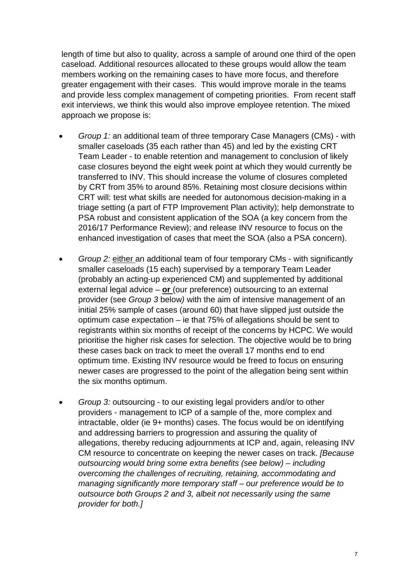length of time but also to quality, across a sample of around one third of the open caseload. Additional resources allocated to these groups would allow the team members working on the remaining cases to have more focus, and therefore greater engagement with their cases. This would improve morale in the teams and provide less complex management of competing priorities. From recent staff exit interviews, we think this would also improve employee retention. The mixed approach we propose is:

- *Group 1:* an additional team of three temporary Case Managers (CMs) with smaller caseloads (35 each rather than 45) and led by the existing CRT Team Leader - to enable retention and management to conclusion of likely case closures beyond the eight week point at which they would currently be transferred to INV. This should increase the volume of closures completed by CRT from 35% to around 85%. Retaining most closure decisions within CRT will: test what skills are needed for autonomous decision-making in a triage setting (a part of FTP Improvement Plan activity); help demonstrate to PSA robust and consistent application of the SOA (a key concern from the 2016/17 Performance Review); and release INV resource to focus on the enhanced investigation of cases that meet the SOA (also a PSA concern).
- *Group 2:* either an additional team of four temporary CMs with significantly smaller caseloads (15 each) supervised by a temporary Team Leader (probably an acting-up experienced CM) and supplemented by additional external legal advice – **or** (our preference) outsourcing to an external provider (see *Group 3* below*)* with the aim of intensive management of an initial 25% sample of cases (around 60) that have slipped just outside the optimum case expectation – ie that 75% of allegations should be sent to registrants within six months of receipt of the concerns by HCPC. We would prioritise the higher risk cases for selection. The objective would be to bring these cases back on track to meet the overall 17 months end to end optimum time. Existing INV resource would be freed to focus on ensuring newer cases are progressed to the point of the allegation being sent within the six months optimum.
- *Group 3:* outsourcing to our existing legal providers and/or to other providers - management to ICP of a sample of the, more complex and intractable, older (ie 9+ months) cases. The focus would be on identifying and addressing barriers to progression and assuring the quality of allegations, thereby reducing adjournments at ICP and, again, releasing INV CM resource to concentrate on keeping the newer cases on track. *[Because outsourcing would bring some extra benefits (see below) – including overcoming the challenges of recruiting, retaining, accommodating and managing significantly more temporary staff – our preference would be to outsource both Groups 2 and 3, albeit not necessarily using the same provider for both.]*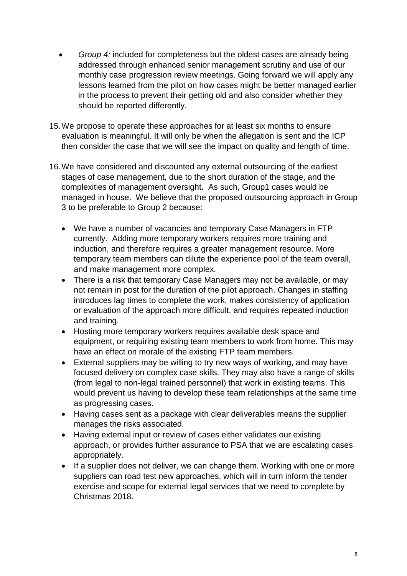- *Group 4:* included for completeness but the oldest cases are already being addressed through enhanced senior management scrutiny and use of our monthly case progression review meetings. Going forward we will apply any lessons learned from the pilot on how cases might be better managed earlier in the process to prevent their getting old and also consider whether they should be reported differently.
- 15.We propose to operate these approaches for at least six months to ensure evaluation is meaningful. It will only be when the allegation is sent and the ICP then consider the case that we will see the impact on quality and length of time.
- 16.We have considered and discounted any external outsourcing of the earliest stages of case management, due to the short duration of the stage, and the complexities of management oversight. As such, Group1 cases would be managed in house. We believe that the proposed outsourcing approach in Group 3 to be preferable to Group 2 because:
	- We have a number of vacancies and temporary Case Managers in FTP currently. Adding more temporary workers requires more training and induction, and therefore requires a greater management resource. More temporary team members can dilute the experience pool of the team overall, and make management more complex.
	- There is a risk that temporary Case Managers may not be available, or may not remain in post for the duration of the pilot approach. Changes in staffing introduces lag times to complete the work, makes consistency of application or evaluation of the approach more difficult, and requires repeated induction and training.
	- Hosting more temporary workers requires available desk space and equipment, or requiring existing team members to work from home. This may have an effect on morale of the existing FTP team members.
	- External suppliers may be willing to try new ways of working, and may have focused delivery on complex case skills. They may also have a range of skills (from legal to non-legal trained personnel) that work in existing teams. This would prevent us having to develop these team relationships at the same time as progressing cases.
	- Having cases sent as a package with clear deliverables means the supplier manages the risks associated.
	- Having external input or review of cases either validates our existing approach, or provides further assurance to PSA that we are escalating cases appropriately.
	- If a supplier does not deliver, we can change them. Working with one or more suppliers can road test new approaches, which will in turn inform the tender exercise and scope for external legal services that we need to complete by Christmas 2018.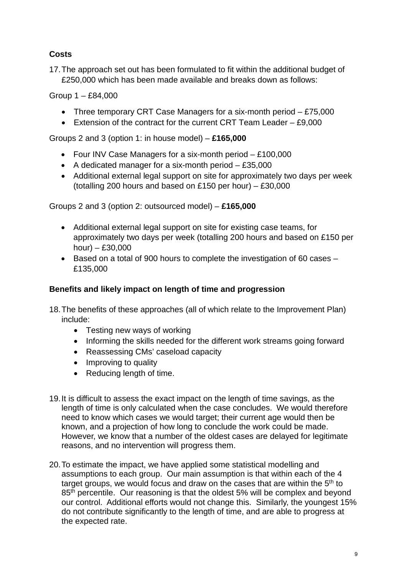# **Costs**

17.The approach set out has been formulated to fit within the additional budget of £250,000 which has been made available and breaks down as follows:

Group 1 – £84,000

- Three temporary CRT Case Managers for a six-month period £75,000
- Extension of the contract for the current CRT Team Leader £9,000

Groups 2 and 3 (option 1: in house model) – **£165,000**

- Four INV Case Managers for a six-month period £100,000
- A dedicated manager for a six-month period £35,000
- Additional external legal support on site for approximately two days per week (totalling 200 hours and based on £150 per hour) – £30,000

Groups 2 and 3 (option 2: outsourced model) – **£165,000**

- Additional external legal support on site for existing case teams, for approximately two days per week (totalling 200 hours and based on £150 per hour) – £30,000
- Based on a total of 900 hours to complete the investigation of 60 cases £135,000

# **Benefits and likely impact on length of time and progression**

- 18.The benefits of these approaches (all of which relate to the Improvement Plan) include:
	- Testing new ways of working
	- Informing the skills needed for the different work streams going forward
	- Reassessing CMs' caseload capacity
	- Improving to quality
	- Reducing length of time.
- 19.It is difficult to assess the exact impact on the length of time savings, as the length of time is only calculated when the case concludes. We would therefore need to know which cases we would target; their current age would then be known, and a projection of how long to conclude the work could be made. However, we know that a number of the oldest cases are delayed for legitimate reasons, and no intervention will progress them.
- 20.To estimate the impact, we have applied some statistical modelling and assumptions to each group. Our main assumption is that within each of the 4 target groups, we would focus and draw on the cases that are within the 5<sup>th</sup> to 85<sup>th</sup> percentile. Our reasoning is that the oldest 5% will be complex and beyond our control. Additional efforts would not change this. Similarly, the youngest 15% do not contribute significantly to the length of time, and are able to progress at the expected rate.